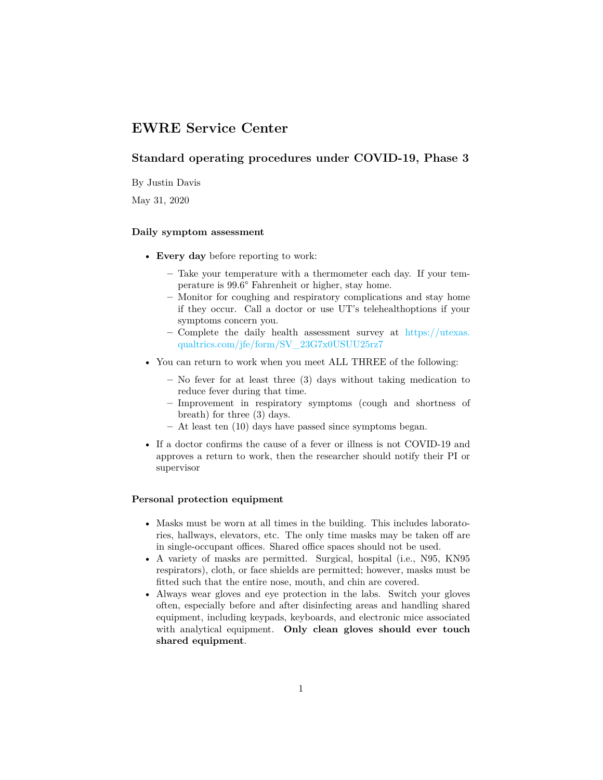# **EWRE Service Center**

# **Standard operating procedures under COVID-19, Phase 3**

By Justin Davis

May 31, 2020

#### **Daily symptom assessment**

- **Every day** before reporting to work:
	- **–** Take your temperature with a thermometer each day. If your temperature is 99.6° Fahrenheit or higher, stay home.
	- **–** Monitor for coughing and respiratory complications and stay home if they occur. Call a doctor or use UT's telehealthoptions if your symptoms concern you.
	- **–** Complete the daily health assessment survey at [https://utexas.](https://utexas.qualtrics.com/jfe/form/SV_23G7x0USUU25rz7) [qualtrics.com/jfe/form/SV\\_23G7x0USUU25rz7](https://utexas.qualtrics.com/jfe/form/SV_23G7x0USUU25rz7)
- You can return to work when you meet ALL THREE of the following:
	- **–** No fever for at least three (3) days without taking medication to reduce fever during that time.
	- **–** Improvement in respiratory symptoms (cough and shortness of breath) for three (3) days.
	- **–** At least ten (10) days have passed since symptoms began.
- If a doctor confirms the cause of a fever or illness is not COVID-19 and approves a return to work, then the researcher should notify their PI or supervisor

## **Personal protection equipment**

- Masks must be worn at all times in the building. This includes laboratories, hallways, elevators, etc. The only time masks may be taken off are in single-occupant offices. Shared office spaces should not be used.
- A variety of masks are permitted. Surgical, hospital (i.e., N95, KN95 respirators), cloth, or face shields are permitted; however, masks must be fitted such that the entire nose, mouth, and chin are covered.
- Always wear gloves and eye protection in the labs. Switch your gloves often, especially before and after disinfecting areas and handling shared equipment, including keypads, keyboards, and electronic mice associated with analytical equipment. **Only clean gloves should ever touch shared equipment**.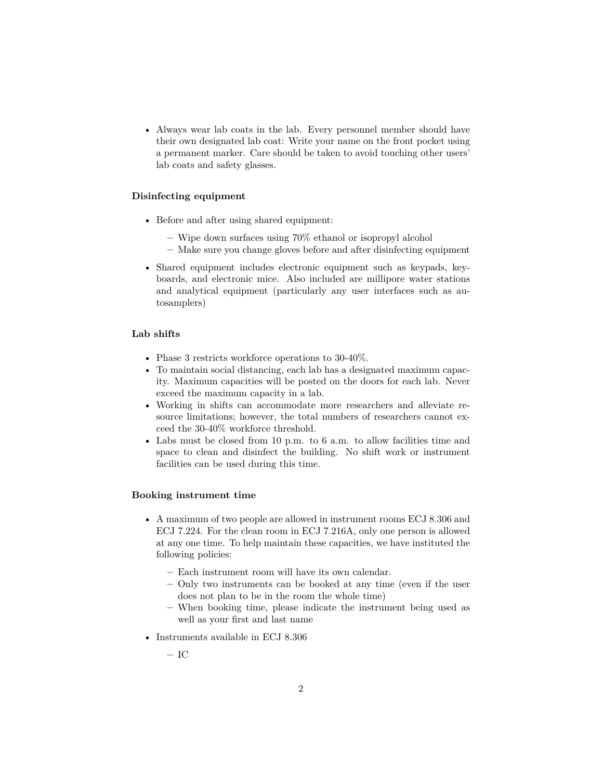• Always wear lab coats in the lab. Every personnel member should have their own designated lab coat: Write your name on the front pocket using a permanent marker. Care should be taken to avoid touching other users' lab coats and safety glasses.

# **Disinfecting equipment**

- Before and after using shared equipment:
	- **–** Wipe down surfaces using 70% ethanol or isopropyl alcohol
	- **–** Make sure you change gloves before and after disinfecting equipment
- Shared equipment includes electronic equipment such as keypads, keyboards, and electronic mice. Also included are millipore water stations and analytical equipment (particularly any user interfaces such as autosamplers)

#### **Lab shifts**

- Phase 3 restricts workforce operations to 30-40%.
- To maintain social distancing, each lab has a designated maximum capacity. Maximum capacities will be posted on the doors for each lab. Never exceed the maximum capacity in a lab.
- Working in shifts can accommodate more researchers and alleviate resource limitations; however, the total numbers of researchers cannot exceed the 30-40% workforce threshold.
- Labs must be closed from 10 p.m. to 6 a.m. to allow facilities time and space to clean and disinfect the building. No shift work or instrument facilities can be used during this time.

#### **Booking instrument time**

- A maximum of two people are allowed in instrument rooms ECJ 8.306 and ECJ 7.224. For the clean room in ECJ 7.216A, only one person is allowed at any one time. To help maintain these capacities, we have instituted the following policies:
	- **–** Each instrument room will have its own calendar.
	- **–** Only two instruments can be booked at any time (even if the user does not plan to be in the room the whole time)
	- **–** When booking time, please indicate the instrument being used as well as your first and last name
- Instruments available in ECJ 8.306

**–** IC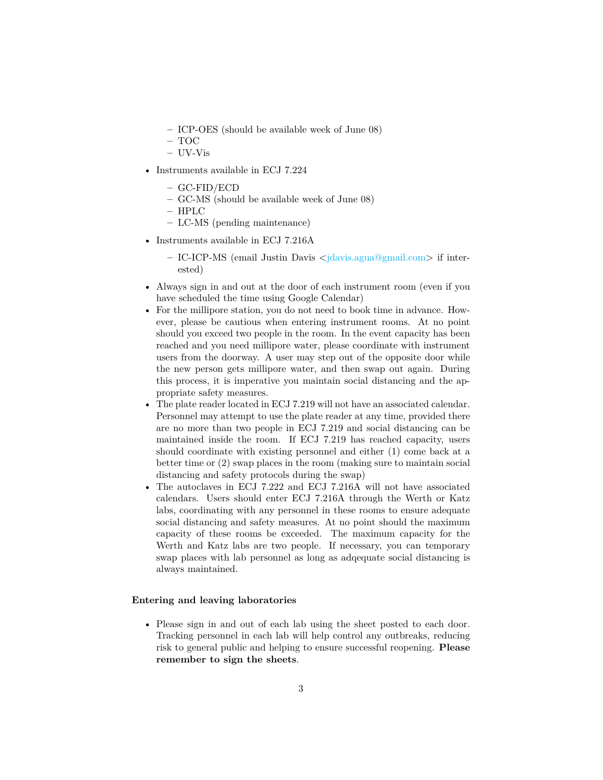- **–** ICP-OES (should be available week of June 08)
- **–** TOC
- **–** UV-Vis
- Instruments available in ECJ 7.224
	- **–** GC-FID/ECD
	- **–** GC-MS (should be available week of June 08)
	- **–** HPLC
	- **–** LC-MS (pending maintenance)
- Instruments available in ECJ 7.216A
	- **–** IC-ICP-MS (email Justin Davis [<jdavis.agua@gmail.com>](mailto:jdavis.agua@gmail.com) if interested)
- Always sign in and out at the door of each instrument room (even if you have scheduled the time using Google Calendar)
- For the millipore station, you do not need to book time in advance. However, please be cautious when entering instrument rooms. At no point should you exceed two people in the room. In the event capacity has been reached and you need millipore water, please coordinate with instrument users from the doorway. A user may step out of the opposite door while the new person gets millipore water, and then swap out again. During this process, it is imperative you maintain social distancing and the appropriate safety measures.
- The plate reader located in ECJ 7.219 will not have an associated calendar. Personnel may attempt to use the plate reader at any time, provided there are no more than two people in ECJ 7.219 and social distancing can be maintained inside the room. If ECJ 7.219 has reached capacity, users should coordinate with existing personnel and either (1) come back at a better time or (2) swap places in the room (making sure to maintain social distancing and safety protocols during the swap)
- The autoclaves in ECJ 7.222 and ECJ 7.216A will not have associated calendars. Users should enter ECJ 7.216A through the Werth or Katz labs, coordinating with any personnel in these rooms to ensure adequate social distancing and safety measures. At no point should the maximum capacity of these rooms be exceeded. The maximum capacity for the Werth and Katz labs are two people. If necessary, you can temporary swap places with lab personnel as long as adqequate social distancing is always maintained.

# **Entering and leaving laboratories**

• Please sign in and out of each lab using the sheet posted to each door. Tracking personnel in each lab will help control any outbreaks, reducing risk to general public and helping to ensure successful reopening. **Please remember to sign the sheets**.